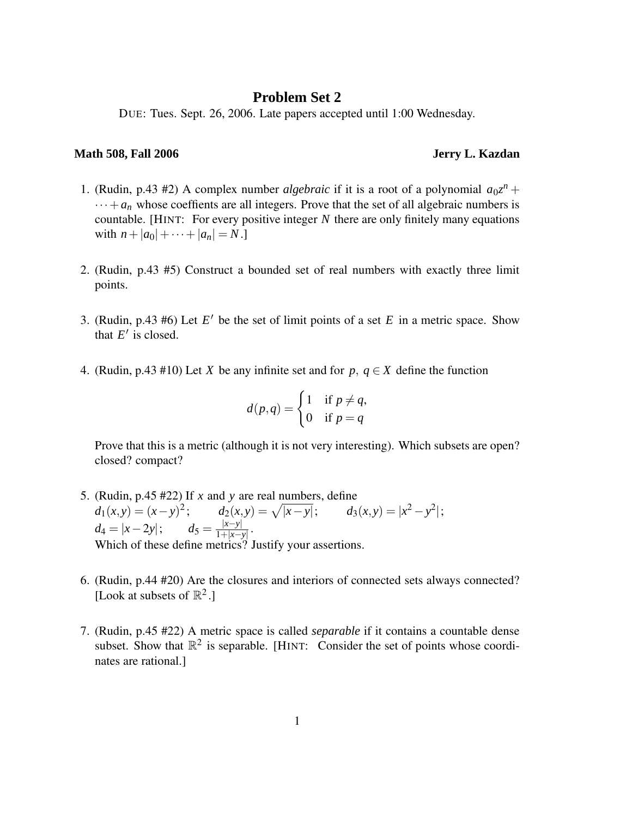## **Problem Set 2**

DUE: Tues. Sept. 26, 2006. Late papers accepted until 1:00 Wednesday.

## **Math 508, Fall 2006 Jerry L. Kazdan**

- 1. (Rudin, p.43 #2) A complex number *algebraic* if it is a root of a polynomial  $a_0z^n$  +  $\cdots + a_n$  whose coeffients are all integers. Prove that the set of all algebraic numbers is countable. [HINT: For every positive integer *N* there are only finitely many equations with  $n + |a_0| + \cdots + |a_n| = N.$
- 2. (Rudin, p.43 #5) Construct a bounded set of real numbers with exactly three limit points.
- 3. (Rudin, p.43 #6) Let  $E'$  be the set of limit points of a set  $E$  in a metric space. Show that  $E'$  is closed.
- 4. (Rudin, p.43 #10) Let *X* be any infinite set and for  $p, q \in X$  define the function

$$
d(p,q) = \begin{cases} 1 & \text{if } p \neq q, \\ 0 & \text{if } p = q \end{cases}
$$

Prove that this is a metric (although it is not very interesting). Which subsets are open? closed? compact?

- 5. (Rudin, p.45 #22) If *x* and *y* are real numbers, define  $d_1(x, y) = (x - y)^2;$   $d_2(x, y) = \sqrt{|x - y|};$   $d_3(x, y) = |x^2 - y^2|;$  $d_4 = |x - 2y|;$   $d_5 = \frac{|x - y|}{1 + |x - y|}$  $\frac{|x-y|}{1+|x-y|}$ . Which of these define metrics? Justify your assertions.
- 6. (Rudin, p.44 #20) Are the closures and interiors of connected sets always connected? [Look at subsets of  $\mathbb{R}^2$ .]
- 7. (Rudin, p.45 #22) A metric space is called *separable* if it contains a countable dense subset. Show that  $\mathbb{R}^2$  is separable. [HINT: Consider the set of points whose coordinates are rational.]